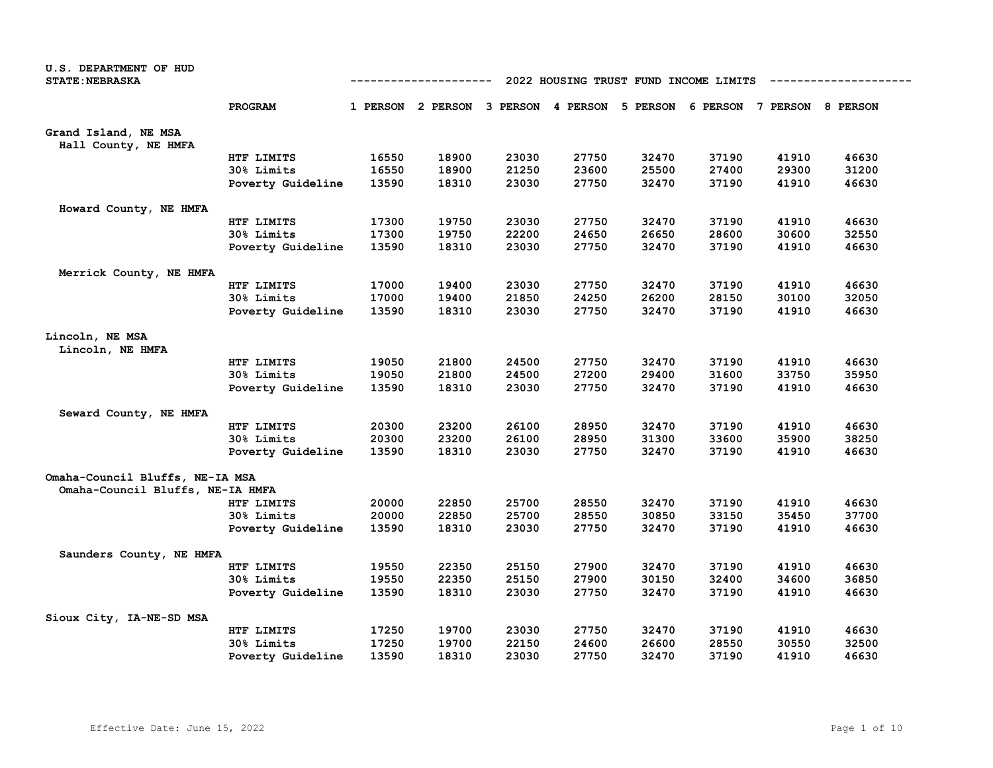| U.S. DEPARTMENT OF HUD<br><b>STATE: NEBRASKA</b>                    | 2022 HOUSING TRUST FUND INCOME LIMITS<br>---------- |       |                                     |       |       |          |       |                            |       |
|---------------------------------------------------------------------|-----------------------------------------------------|-------|-------------------------------------|-------|-------|----------|-------|----------------------------|-------|
|                                                                     | PROGRAM                                             |       | 1 PERSON 2 PERSON 3 PERSON 4 PERSON |       |       | 5 PERSON |       | 6 PERSON 7 PERSON 8 PERSON |       |
| Grand Island, NE MSA<br>Hall County, NE HMFA                        |                                                     |       |                                     |       |       |          |       |                            |       |
|                                                                     | HTF LIMITS                                          | 16550 | 18900                               | 23030 | 27750 | 32470    | 37190 | 41910                      | 46630 |
|                                                                     | 30% Limits                                          | 16550 | 18900                               | 21250 | 23600 | 25500    | 27400 | 29300                      | 31200 |
|                                                                     | Poverty Guideline                                   | 13590 | 18310                               | 23030 | 27750 | 32470    | 37190 | 41910                      | 46630 |
| Howard County, NE HMFA                                              |                                                     |       |                                     |       |       |          |       |                            |       |
|                                                                     | HTF LIMITS                                          | 17300 | 19750                               | 23030 | 27750 | 32470    | 37190 | 41910                      | 46630 |
|                                                                     | 30% Limits                                          | 17300 | 19750                               | 22200 | 24650 | 26650    | 28600 | 30600                      | 32550 |
|                                                                     | Poverty Guideline                                   | 13590 | 18310                               | 23030 | 27750 | 32470    | 37190 | 41910                      | 46630 |
| Merrick County, NE HMFA                                             |                                                     |       |                                     |       |       |          |       |                            |       |
|                                                                     | HTF LIMITS                                          | 17000 | 19400                               | 23030 | 27750 | 32470    | 37190 | 41910                      | 46630 |
|                                                                     | 30% Limits                                          | 17000 | 19400                               | 21850 | 24250 | 26200    | 28150 | 30100                      | 32050 |
|                                                                     | Poverty Guideline                                   | 13590 | 18310                               | 23030 | 27750 | 32470    | 37190 | 41910                      | 46630 |
| Lincoln, NE MSA<br>Lincoln, NE HMFA                                 |                                                     |       |                                     |       |       |          |       |                            |       |
|                                                                     | HTF LIMITS                                          | 19050 | 21800                               | 24500 | 27750 | 32470    | 37190 | 41910                      | 46630 |
|                                                                     | 30% Limits                                          | 19050 | 21800                               | 24500 | 27200 | 29400    | 31600 | 33750                      | 35950 |
|                                                                     | Poverty Guideline                                   | 13590 | 18310                               | 23030 | 27750 | 32470    | 37190 | 41910                      | 46630 |
| Seward County, NE HMFA                                              |                                                     |       |                                     |       |       |          |       |                            |       |
|                                                                     | HTF LIMITS                                          | 20300 | 23200                               | 26100 | 28950 | 32470    | 37190 | 41910                      | 46630 |
|                                                                     | 30% Limits                                          | 20300 | 23200                               | 26100 | 28950 | 31300    | 33600 | 35900                      | 38250 |
|                                                                     | Poverty Guideline                                   | 13590 | 18310                               | 23030 | 27750 | 32470    | 37190 | 41910                      | 46630 |
| Omaha-Council Bluffs, NE-IA MSA<br>Omaha-Council Bluffs, NE-IA HMFA |                                                     |       |                                     |       |       |          |       |                            |       |
|                                                                     | HTF LIMITS                                          | 20000 | 22850                               | 25700 | 28550 | 32470    | 37190 | 41910                      | 46630 |
|                                                                     | 30% Limits                                          | 20000 | 22850                               | 25700 | 28550 | 30850    | 33150 | 35450                      | 37700 |
|                                                                     | Poverty Guideline                                   | 13590 | 18310                               | 23030 | 27750 | 32470    | 37190 | 41910                      | 46630 |
| Saunders County, NE HMFA                                            |                                                     |       |                                     |       |       |          |       |                            |       |
|                                                                     | HTF LIMITS                                          | 19550 | 22350                               | 25150 | 27900 | 32470    | 37190 | 41910                      | 46630 |
|                                                                     | 30% Limits                                          | 19550 | 22350                               | 25150 | 27900 | 30150    | 32400 | 34600                      | 36850 |
|                                                                     | Poverty Guideline                                   | 13590 | 18310                               | 23030 | 27750 | 32470    | 37190 | 41910                      | 46630 |
| Sioux City, IA-NE-SD MSA                                            |                                                     |       |                                     |       |       |          |       |                            |       |
|                                                                     | HTF LIMITS                                          | 17250 | 19700                               | 23030 | 27750 | 32470    | 37190 | 41910                      | 46630 |
|                                                                     | 30% Limits                                          | 17250 | 19700                               | 22150 | 24600 | 26600    | 28550 | 30550                      | 32500 |
|                                                                     | Poverty Guideline                                   | 13590 | 18310                               | 23030 | 27750 | 32470    | 37190 | 41910                      | 46630 |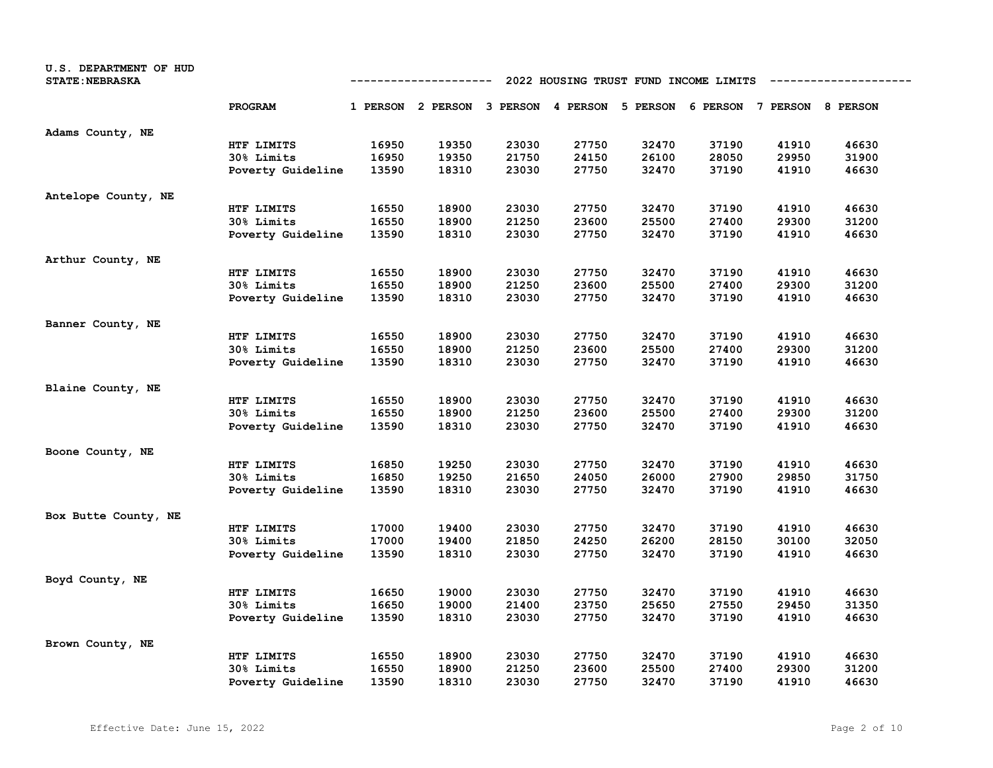| U.S. DEPARTMENT OF HUD<br><b>STATE: NEBRASKA</b> |                   | 2022 HOUSING TRUST FUND INCOME LIMITS<br>----------- |                                                                         |       |       |       |       |       |       |  |
|--------------------------------------------------|-------------------|------------------------------------------------------|-------------------------------------------------------------------------|-------|-------|-------|-------|-------|-------|--|
|                                                  | PROGRAM           |                                                      | 1 PERSON 2 PERSON 3 PERSON 4 PERSON 5 PERSON 6 PERSON 7 PERSON 8 PERSON |       |       |       |       |       |       |  |
| Adams County, NE                                 |                   |                                                      |                                                                         |       |       |       |       |       |       |  |
|                                                  | HTF LIMITS        | 16950                                                | 19350                                                                   | 23030 | 27750 | 32470 | 37190 | 41910 | 46630 |  |
|                                                  | 30% Limits        | 16950                                                | 19350                                                                   | 21750 | 24150 | 26100 | 28050 | 29950 | 31900 |  |
|                                                  | Poverty Guideline | 13590                                                | 18310                                                                   | 23030 | 27750 | 32470 | 37190 | 41910 | 46630 |  |
| Antelope County, NE                              |                   |                                                      |                                                                         |       |       |       |       |       |       |  |
|                                                  | HTF LIMITS        | 16550                                                | 18900                                                                   | 23030 | 27750 | 32470 | 37190 | 41910 | 46630 |  |
|                                                  | 30% Limits        | 16550                                                | 18900                                                                   | 21250 | 23600 | 25500 | 27400 | 29300 | 31200 |  |
|                                                  | Poverty Guideline | 13590                                                | 18310                                                                   | 23030 | 27750 | 32470 | 37190 | 41910 | 46630 |  |
| Arthur County, NE                                |                   |                                                      |                                                                         |       |       |       |       |       |       |  |
|                                                  | HTF LIMITS        | 16550                                                | 18900                                                                   | 23030 | 27750 | 32470 | 37190 | 41910 | 46630 |  |
|                                                  | 30% Limits        | 16550                                                | 18900                                                                   | 21250 | 23600 | 25500 | 27400 | 29300 | 31200 |  |
|                                                  | Poverty Guideline | 13590                                                | 18310                                                                   | 23030 | 27750 | 32470 | 37190 | 41910 | 46630 |  |
| Banner County, NE                                |                   |                                                      |                                                                         |       |       |       |       |       |       |  |
|                                                  | HTF LIMITS        | 16550                                                | 18900                                                                   | 23030 | 27750 | 32470 | 37190 | 41910 | 46630 |  |
|                                                  | 30% Limits        | 16550                                                | 18900                                                                   | 21250 | 23600 | 25500 | 27400 | 29300 | 31200 |  |
|                                                  | Poverty Guideline | 13590                                                | 18310                                                                   | 23030 | 27750 | 32470 | 37190 | 41910 | 46630 |  |
| Blaine County, NE                                |                   |                                                      |                                                                         |       |       |       |       |       |       |  |
|                                                  | HTF LIMITS        | 16550                                                | 18900                                                                   | 23030 | 27750 | 32470 | 37190 | 41910 | 46630 |  |
|                                                  | 30% Limits        | 16550                                                | 18900                                                                   | 21250 | 23600 | 25500 | 27400 | 29300 | 31200 |  |
|                                                  | Poverty Guideline | 13590                                                | 18310                                                                   | 23030 | 27750 | 32470 | 37190 | 41910 | 46630 |  |
| Boone County, NE                                 |                   |                                                      |                                                                         |       |       |       |       |       |       |  |
|                                                  | HTF LIMITS        | 16850                                                | 19250                                                                   | 23030 | 27750 | 32470 | 37190 | 41910 | 46630 |  |
|                                                  | 30% Limits        | 16850                                                | 19250                                                                   | 21650 | 24050 | 26000 | 27900 | 29850 | 31750 |  |
|                                                  | Poverty Guideline | 13590                                                | 18310                                                                   | 23030 | 27750 | 32470 | 37190 | 41910 | 46630 |  |
| Box Butte County, NE                             |                   |                                                      |                                                                         |       |       |       |       |       |       |  |
|                                                  | HTF LIMITS        | 17000                                                | 19400                                                                   | 23030 | 27750 | 32470 | 37190 | 41910 | 46630 |  |
|                                                  | 30% Limits        | 17000                                                | 19400                                                                   | 21850 | 24250 | 26200 | 28150 | 30100 | 32050 |  |
|                                                  | Poverty Guideline | 13590                                                | 18310                                                                   | 23030 | 27750 | 32470 | 37190 | 41910 | 46630 |  |
| Boyd County, NE                                  |                   |                                                      |                                                                         |       |       |       |       |       |       |  |
|                                                  | HTF LIMITS        | 16650                                                | 19000                                                                   | 23030 | 27750 | 32470 | 37190 | 41910 | 46630 |  |
|                                                  | 30% Limits        | 16650                                                | 19000                                                                   | 21400 | 23750 | 25650 | 27550 | 29450 | 31350 |  |
|                                                  | Poverty Guideline | 13590                                                | 18310                                                                   | 23030 | 27750 | 32470 | 37190 | 41910 | 46630 |  |
| Brown County, NE                                 |                   |                                                      |                                                                         |       |       |       |       |       |       |  |
|                                                  | HTF LIMITS        | 16550                                                | 18900                                                                   | 23030 | 27750 | 32470 | 37190 | 41910 | 46630 |  |
|                                                  | 30% Limits        | 16550                                                | 18900                                                                   | 21250 | 23600 | 25500 | 27400 | 29300 | 31200 |  |
|                                                  | Poverty Guideline | 13590                                                | 18310                                                                   | 23030 | 27750 | 32470 | 37190 | 41910 | 46630 |  |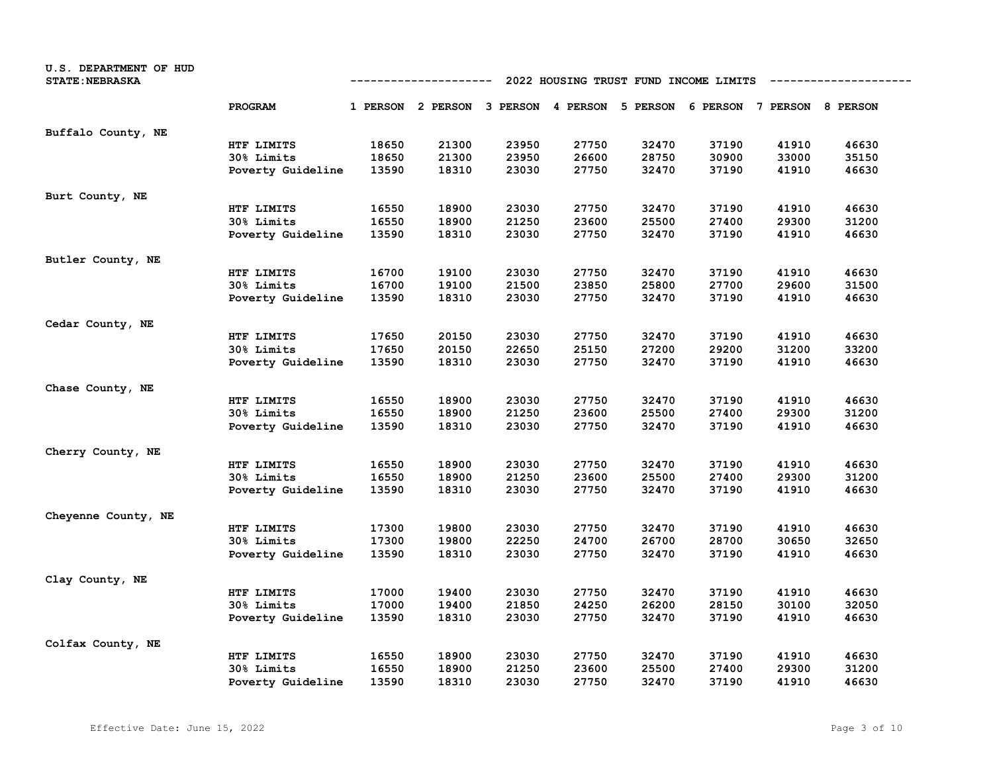| U.S. DEPARTMENT OF HUD<br><b>STATE: NEBRASKA</b> |                   | 2022 HOUSING TRUST FUND INCOME LIMITS<br>---------- |                                                                         |       |       |       |       |       |       |  |
|--------------------------------------------------|-------------------|-----------------------------------------------------|-------------------------------------------------------------------------|-------|-------|-------|-------|-------|-------|--|
|                                                  | PROGRAM           |                                                     | 1 PERSON 2 PERSON 3 PERSON 4 PERSON 5 PERSON 6 PERSON 7 PERSON 8 PERSON |       |       |       |       |       |       |  |
| Buffalo County, NE                               |                   |                                                     |                                                                         |       |       |       |       |       |       |  |
|                                                  | HTF LIMITS        | 18650                                               | 21300                                                                   | 23950 | 27750 | 32470 | 37190 | 41910 | 46630 |  |
|                                                  | 30% Limits        | 18650                                               | 21300                                                                   | 23950 | 26600 | 28750 | 30900 | 33000 | 35150 |  |
|                                                  | Poverty Guideline | 13590                                               | 18310                                                                   | 23030 | 27750 | 32470 | 37190 | 41910 | 46630 |  |
| Burt County, NE                                  |                   |                                                     |                                                                         |       |       |       |       |       |       |  |
|                                                  | HTF LIMITS        | 16550                                               | 18900                                                                   | 23030 | 27750 | 32470 | 37190 | 41910 | 46630 |  |
|                                                  | 30% Limits        | 16550                                               | 18900                                                                   | 21250 | 23600 | 25500 | 27400 | 29300 | 31200 |  |
|                                                  | Poverty Guideline | 13590                                               | 18310                                                                   | 23030 | 27750 | 32470 | 37190 | 41910 | 46630 |  |
| Butler County, NE                                |                   |                                                     |                                                                         |       |       |       |       |       |       |  |
|                                                  | HTF LIMITS        | 16700                                               | 19100                                                                   | 23030 | 27750 | 32470 | 37190 | 41910 | 46630 |  |
|                                                  | 30% Limits        | 16700                                               | 19100                                                                   | 21500 | 23850 | 25800 | 27700 | 29600 | 31500 |  |
|                                                  | Poverty Guideline | 13590                                               | 18310                                                                   | 23030 | 27750 | 32470 | 37190 | 41910 | 46630 |  |
| Cedar County, NE                                 |                   |                                                     |                                                                         |       |       |       |       |       |       |  |
|                                                  | HTF LIMITS        | 17650                                               | 20150                                                                   | 23030 | 27750 | 32470 | 37190 | 41910 | 46630 |  |
|                                                  | 30% Limits        | 17650                                               | 20150                                                                   | 22650 | 25150 | 27200 | 29200 | 31200 | 33200 |  |
|                                                  | Poverty Guideline | 13590                                               | 18310                                                                   | 23030 | 27750 | 32470 | 37190 | 41910 | 46630 |  |
| Chase County, NE                                 |                   |                                                     |                                                                         |       |       |       |       |       |       |  |
|                                                  | HTF LIMITS        | 16550                                               | 18900                                                                   | 23030 | 27750 | 32470 | 37190 | 41910 | 46630 |  |
|                                                  | 30% Limits        | 16550                                               | 18900                                                                   | 21250 | 23600 | 25500 | 27400 | 29300 | 31200 |  |
|                                                  | Poverty Guideline | 13590                                               | 18310                                                                   | 23030 | 27750 | 32470 | 37190 | 41910 | 46630 |  |
| Cherry County, NE                                |                   |                                                     |                                                                         |       |       |       |       |       |       |  |
|                                                  | HTF LIMITS        | 16550                                               | 18900                                                                   | 23030 | 27750 | 32470 | 37190 | 41910 | 46630 |  |
|                                                  | 30% Limits        | 16550                                               | 18900                                                                   | 21250 | 23600 | 25500 | 27400 | 29300 | 31200 |  |
|                                                  | Poverty Guideline | 13590                                               | 18310                                                                   | 23030 | 27750 | 32470 | 37190 | 41910 | 46630 |  |
| Cheyenne County, NE                              |                   |                                                     |                                                                         |       |       |       |       |       |       |  |
|                                                  | HTF LIMITS        | 17300                                               | 19800                                                                   | 23030 | 27750 | 32470 | 37190 | 41910 | 46630 |  |
|                                                  | 30% Limits        | 17300                                               | 19800                                                                   | 22250 | 24700 | 26700 | 28700 | 30650 | 32650 |  |
|                                                  | Poverty Guideline | 13590                                               | 18310                                                                   | 23030 | 27750 | 32470 | 37190 | 41910 | 46630 |  |
| Clay County, NE                                  |                   |                                                     |                                                                         |       |       |       |       |       |       |  |
|                                                  | HTF LIMITS        | 17000                                               | 19400                                                                   | 23030 | 27750 | 32470 | 37190 | 41910 | 46630 |  |
|                                                  | 30% Limits        | 17000                                               | 19400                                                                   | 21850 | 24250 | 26200 | 28150 | 30100 | 32050 |  |
|                                                  | Poverty Guideline | 13590                                               | 18310                                                                   | 23030 | 27750 | 32470 | 37190 | 41910 | 46630 |  |
| Colfax County, NE                                |                   |                                                     |                                                                         |       |       |       |       |       |       |  |
|                                                  | HTF LIMITS        | 16550                                               | 18900                                                                   | 23030 | 27750 | 32470 | 37190 | 41910 | 46630 |  |
|                                                  | 30% Limits        | 16550                                               | 18900                                                                   | 21250 | 23600 | 25500 | 27400 | 29300 | 31200 |  |
|                                                  | Poverty Guideline | 13590                                               | 18310                                                                   | 23030 | 27750 | 32470 | 37190 | 41910 | 46630 |  |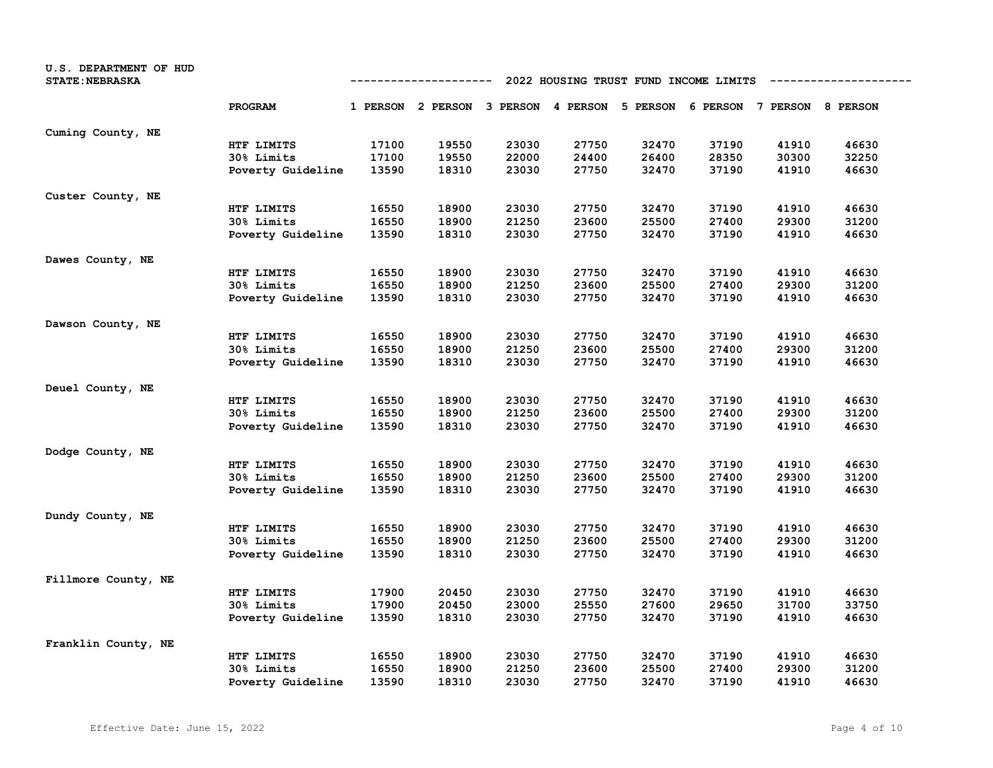| U.S. DEPARTMENT OF HUD<br><b>STATE: NEBRASKA</b> |                   | 2022 HOUSING TRUST FUND INCOME LIMITS<br>---------- |                                                                         |       |       |       |       |       |       |  |
|--------------------------------------------------|-------------------|-----------------------------------------------------|-------------------------------------------------------------------------|-------|-------|-------|-------|-------|-------|--|
|                                                  | PROGRAM           |                                                     | 1 PERSON 2 PERSON 3 PERSON 4 PERSON 5 PERSON 6 PERSON 7 PERSON 8 PERSON |       |       |       |       |       |       |  |
| Cuming County, NE                                |                   |                                                     |                                                                         |       |       |       |       |       |       |  |
|                                                  | HTF LIMITS        | 17100                                               | 19550                                                                   | 23030 | 27750 | 32470 | 37190 | 41910 | 46630 |  |
|                                                  | 30% Limits        | 17100                                               | 19550                                                                   | 22000 | 24400 | 26400 | 28350 | 30300 | 32250 |  |
|                                                  | Poverty Guideline | 13590                                               | 18310                                                                   | 23030 | 27750 | 32470 | 37190 | 41910 | 46630 |  |
| Custer County, NE                                |                   |                                                     |                                                                         |       |       |       |       |       |       |  |
|                                                  | HTF LIMITS        | 16550                                               | 18900                                                                   | 23030 | 27750 | 32470 | 37190 | 41910 | 46630 |  |
|                                                  | 30% Limits        | 16550                                               | 18900                                                                   | 21250 | 23600 | 25500 | 27400 | 29300 | 31200 |  |
|                                                  | Poverty Guideline | 13590                                               | 18310                                                                   | 23030 | 27750 | 32470 | 37190 | 41910 | 46630 |  |
| Dawes County, NE                                 |                   |                                                     |                                                                         |       |       |       |       |       |       |  |
|                                                  | HTF LIMITS        | 16550                                               | 18900                                                                   | 23030 | 27750 | 32470 | 37190 | 41910 | 46630 |  |
|                                                  | <b>30% Limits</b> | 16550                                               | 18900                                                                   | 21250 | 23600 | 25500 | 27400 | 29300 | 31200 |  |
|                                                  | Poverty Guideline | 13590                                               | 18310                                                                   | 23030 | 27750 | 32470 | 37190 | 41910 | 46630 |  |
| Dawson County, NE                                |                   |                                                     |                                                                         |       |       |       |       |       |       |  |
|                                                  | HTF LIMITS        | 16550                                               | 18900                                                                   | 23030 | 27750 | 32470 | 37190 | 41910 | 46630 |  |
|                                                  | 30% Limits        | 16550                                               | 18900                                                                   | 21250 | 23600 | 25500 | 27400 | 29300 | 31200 |  |
|                                                  | Poverty Guideline | 13590                                               | 18310                                                                   | 23030 | 27750 | 32470 | 37190 | 41910 | 46630 |  |
| Deuel County, NE                                 |                   |                                                     |                                                                         |       |       |       |       |       |       |  |
|                                                  | HTF LIMITS        | 16550                                               | 18900                                                                   | 23030 | 27750 | 32470 | 37190 | 41910 | 46630 |  |
|                                                  | 30% Limits        | 16550                                               | 18900                                                                   | 21250 | 23600 | 25500 | 27400 | 29300 | 31200 |  |
|                                                  | Poverty Guideline | 13590                                               | 18310                                                                   | 23030 | 27750 | 32470 | 37190 | 41910 | 46630 |  |
| Dodge County, NE                                 |                   |                                                     |                                                                         |       |       |       |       |       |       |  |
|                                                  | HTF LIMITS        | 16550                                               | 18900                                                                   | 23030 | 27750 | 32470 | 37190 | 41910 | 46630 |  |
|                                                  | 30% Limits        | 16550                                               | 18900                                                                   | 21250 | 23600 | 25500 | 27400 | 29300 | 31200 |  |
|                                                  | Poverty Guideline | 13590                                               | 18310                                                                   | 23030 | 27750 | 32470 | 37190 | 41910 | 46630 |  |
| Dundy County, NE                                 |                   |                                                     |                                                                         |       |       |       |       |       |       |  |
|                                                  | HTF LIMITS        | 16550                                               | 18900                                                                   | 23030 | 27750 | 32470 | 37190 | 41910 | 46630 |  |
|                                                  | 30% Limits        | 16550                                               | 18900                                                                   | 21250 | 23600 | 25500 | 27400 | 29300 | 31200 |  |
|                                                  | Poverty Guideline | 13590                                               | 18310                                                                   | 23030 | 27750 | 32470 | 37190 | 41910 | 46630 |  |
| Fillmore County, NE                              |                   |                                                     |                                                                         |       |       |       |       |       |       |  |
|                                                  | HTF LIMITS        | 17900                                               | 20450                                                                   | 23030 | 27750 | 32470 | 37190 | 41910 | 46630 |  |
|                                                  | 30% Limits        | 17900                                               | 20450                                                                   | 23000 | 25550 | 27600 | 29650 | 31700 | 33750 |  |
|                                                  | Poverty Guideline | 13590                                               | 18310                                                                   | 23030 | 27750 | 32470 | 37190 | 41910 | 46630 |  |
| Franklin County, NE                              |                   |                                                     |                                                                         |       |       |       |       |       |       |  |
|                                                  | HTF LIMITS        | 16550                                               | 18900                                                                   | 23030 | 27750 | 32470 | 37190 | 41910 | 46630 |  |
|                                                  | <b>30% Limits</b> | 16550                                               | 18900                                                                   | 21250 | 23600 | 25500 | 27400 | 29300 | 31200 |  |
|                                                  | Poverty Guideline | 13590                                               | 18310                                                                   | 23030 | 27750 | 32470 | 37190 | 41910 | 46630 |  |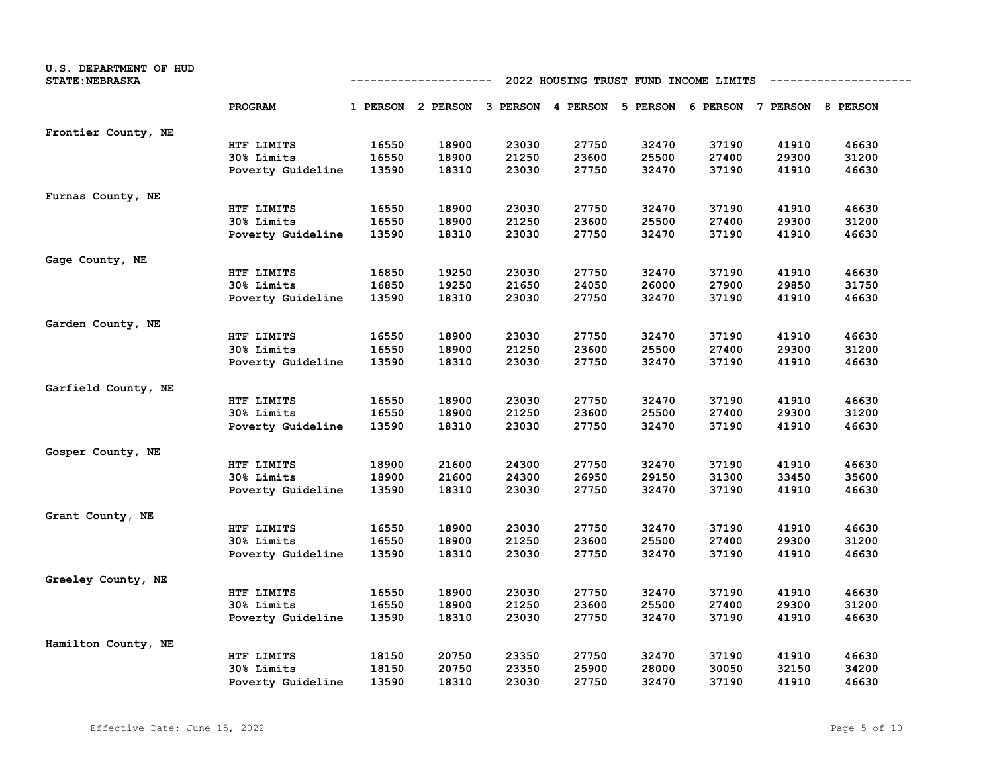| U.S. DEPARTMENT OF HUD<br><b>STATE: NEBRASKA</b> |                   | 2022 HOUSING TRUST FUND INCOME LIMITS<br>---------- |                                                                         |       |       |       |       |       |       |  |
|--------------------------------------------------|-------------------|-----------------------------------------------------|-------------------------------------------------------------------------|-------|-------|-------|-------|-------|-------|--|
|                                                  | PROGRAM           |                                                     | 1 PERSON 2 PERSON 3 PERSON 4 PERSON 5 PERSON 6 PERSON 7 PERSON 8 PERSON |       |       |       |       |       |       |  |
| Frontier County, NE                              |                   |                                                     |                                                                         |       |       |       |       |       |       |  |
|                                                  | HTF LIMITS        | 16550                                               | 18900                                                                   | 23030 | 27750 | 32470 | 37190 | 41910 | 46630 |  |
|                                                  | 30% Limits        | 16550                                               | 18900                                                                   | 21250 | 23600 | 25500 | 27400 | 29300 | 31200 |  |
|                                                  | Poverty Guideline | 13590                                               | 18310                                                                   | 23030 | 27750 | 32470 | 37190 | 41910 | 46630 |  |
| Furnas County, NE                                |                   |                                                     |                                                                         |       |       |       |       |       |       |  |
|                                                  | HTF LIMITS        | 16550                                               | 18900                                                                   | 23030 | 27750 | 32470 | 37190 | 41910 | 46630 |  |
|                                                  | 30% Limits        | 16550                                               | 18900                                                                   | 21250 | 23600 | 25500 | 27400 | 29300 | 31200 |  |
|                                                  | Poverty Guideline | 13590                                               | 18310                                                                   | 23030 | 27750 | 32470 | 37190 | 41910 | 46630 |  |
| Gage County, NE                                  |                   |                                                     |                                                                         |       |       |       |       |       |       |  |
|                                                  | HTF LIMITS        | 16850                                               | 19250                                                                   | 23030 | 27750 | 32470 | 37190 | 41910 | 46630 |  |
|                                                  | 30% Limits        | 16850                                               | 19250                                                                   | 21650 | 24050 | 26000 | 27900 | 29850 | 31750 |  |
|                                                  | Poverty Guideline | 13590                                               | 18310                                                                   | 23030 | 27750 | 32470 | 37190 | 41910 | 46630 |  |
| Garden County, NE                                |                   |                                                     |                                                                         |       |       |       |       |       |       |  |
|                                                  | HTF LIMITS        | 16550                                               | 18900                                                                   | 23030 | 27750 | 32470 | 37190 | 41910 | 46630 |  |
|                                                  | 30% Limits        | 16550                                               | 18900                                                                   | 21250 | 23600 | 25500 | 27400 | 29300 | 31200 |  |
|                                                  | Poverty Guideline | 13590                                               | 18310                                                                   | 23030 | 27750 | 32470 | 37190 | 41910 | 46630 |  |
| Garfield County, NE                              |                   |                                                     |                                                                         |       |       |       |       |       |       |  |
|                                                  | HTF LIMITS        | 16550                                               | 18900                                                                   | 23030 | 27750 | 32470 | 37190 | 41910 | 46630 |  |
|                                                  | 30% Limits        | 16550                                               | 18900                                                                   | 21250 | 23600 | 25500 | 27400 | 29300 | 31200 |  |
|                                                  | Poverty Guideline | 13590                                               | 18310                                                                   | 23030 | 27750 | 32470 | 37190 | 41910 | 46630 |  |
| Gosper County, NE                                |                   |                                                     |                                                                         |       |       |       |       |       |       |  |
|                                                  | HTF LIMITS        | 18900                                               | 21600                                                                   | 24300 | 27750 | 32470 | 37190 | 41910 | 46630 |  |
|                                                  | 30% Limits        | 18900                                               | 21600                                                                   | 24300 | 26950 | 29150 | 31300 | 33450 | 35600 |  |
|                                                  | Poverty Guideline | 13590                                               | 18310                                                                   | 23030 | 27750 | 32470 | 37190 | 41910 | 46630 |  |
| Grant County, NE                                 |                   |                                                     |                                                                         |       |       |       |       |       |       |  |
|                                                  | HTF LIMITS        | 16550                                               | 18900                                                                   | 23030 | 27750 | 32470 | 37190 | 41910 | 46630 |  |
|                                                  | 30% Limits        | 16550                                               | 18900                                                                   | 21250 | 23600 | 25500 | 27400 | 29300 | 31200 |  |
|                                                  | Poverty Guideline | 13590                                               | 18310                                                                   | 23030 | 27750 | 32470 | 37190 | 41910 | 46630 |  |
| Greeley County, NE                               |                   |                                                     |                                                                         |       |       |       |       |       |       |  |
|                                                  | HTF LIMITS        | 16550                                               | 18900                                                                   | 23030 | 27750 | 32470 | 37190 | 41910 | 46630 |  |
|                                                  | 30% Limits        | 16550                                               | 18900                                                                   | 21250 | 23600 | 25500 | 27400 | 29300 | 31200 |  |
|                                                  | Poverty Guideline | 13590                                               | 18310                                                                   | 23030 | 27750 | 32470 | 37190 | 41910 | 46630 |  |
| Hamilton County, NE                              |                   |                                                     |                                                                         |       |       |       |       |       |       |  |
|                                                  | HTF LIMITS        | 18150                                               | 20750                                                                   | 23350 | 27750 | 32470 | 37190 | 41910 | 46630 |  |
|                                                  | 30% Limits        | 18150                                               | 20750                                                                   | 23350 | 25900 | 28000 | 30050 | 32150 | 34200 |  |
|                                                  | Poverty Guideline | 13590                                               | 18310                                                                   | 23030 | 27750 | 32470 | 37190 | 41910 | 46630 |  |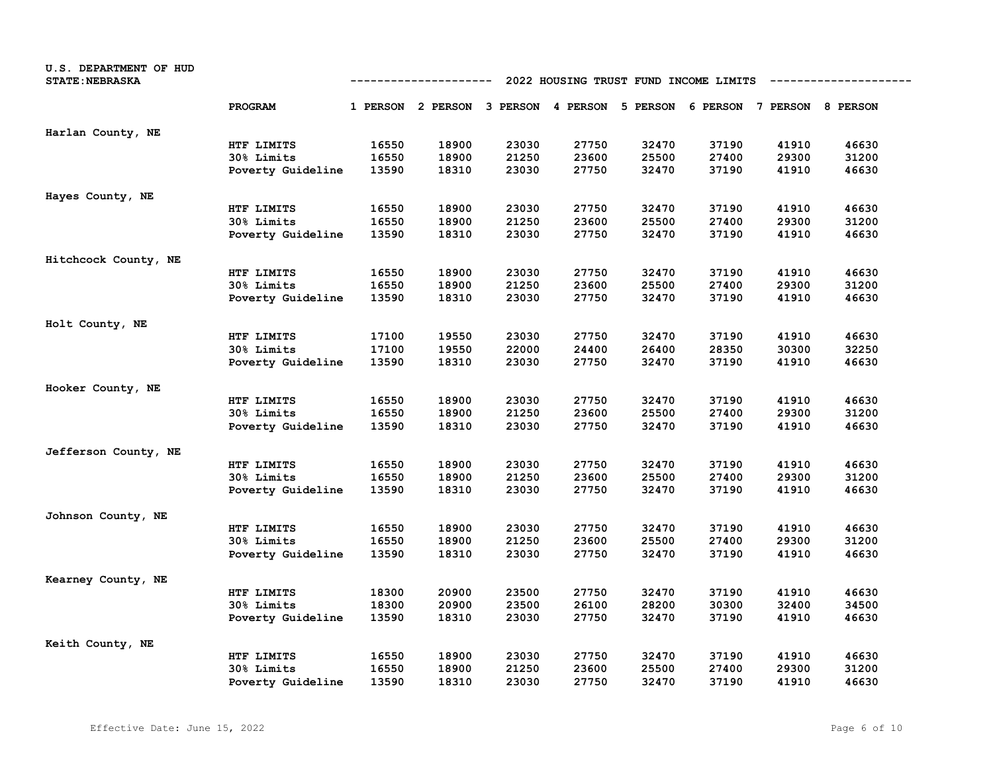| U.S. DEPARTMENT OF HUD<br><b>STATE: NEBRASKA</b> |                   | 2022 HOUSING TRUST FUND INCOME LIMITS<br>---------- |                                              |       |       |       |       |                            |       |  |
|--------------------------------------------------|-------------------|-----------------------------------------------------|----------------------------------------------|-------|-------|-------|-------|----------------------------|-------|--|
|                                                  | PROGRAM           |                                                     | 1 PERSON 2 PERSON 3 PERSON 4 PERSON 5 PERSON |       |       |       |       | 6 PERSON 7 PERSON 8 PERSON |       |  |
| Harlan County, NE                                |                   |                                                     |                                              |       |       |       |       |                            |       |  |
|                                                  | HTF LIMITS        | 16550                                               | 18900                                        | 23030 | 27750 | 32470 | 37190 | 41910                      | 46630 |  |
|                                                  | 30% Limits        | 16550                                               | 18900                                        | 21250 | 23600 | 25500 | 27400 | 29300                      | 31200 |  |
|                                                  | Poverty Guideline | 13590                                               | 18310                                        | 23030 | 27750 | 32470 | 37190 | 41910                      | 46630 |  |
| Hayes County, NE                                 |                   |                                                     |                                              |       |       |       |       |                            |       |  |
|                                                  | HTF LIMITS        | 16550                                               | 18900                                        | 23030 | 27750 | 32470 | 37190 | 41910                      | 46630 |  |
|                                                  | 30% Limits        | 16550                                               | 18900                                        | 21250 | 23600 | 25500 | 27400 | 29300                      | 31200 |  |
|                                                  | Poverty Guideline | 13590                                               | 18310                                        | 23030 | 27750 | 32470 | 37190 | 41910                      | 46630 |  |
| Hitchcock County, NE                             |                   |                                                     |                                              |       |       |       |       |                            |       |  |
|                                                  | HTF LIMITS        | 16550                                               | 18900                                        | 23030 | 27750 | 32470 | 37190 | 41910                      | 46630 |  |
|                                                  | 30% Limits        | 16550                                               | 18900                                        | 21250 | 23600 | 25500 | 27400 | 29300                      | 31200 |  |
|                                                  | Poverty Guideline | 13590                                               | 18310                                        | 23030 | 27750 | 32470 | 37190 | 41910                      | 46630 |  |
| Holt County, NE                                  |                   |                                                     |                                              |       |       |       |       |                            |       |  |
|                                                  | HTF LIMITS        | 17100                                               | 19550                                        | 23030 | 27750 | 32470 | 37190 | 41910                      | 46630 |  |
|                                                  | 30% Limits        | 17100                                               | 19550                                        | 22000 | 24400 | 26400 | 28350 | 30300                      | 32250 |  |
|                                                  | Poverty Guideline | 13590                                               | 18310                                        | 23030 | 27750 | 32470 | 37190 | 41910                      | 46630 |  |
| Hooker County, NE                                |                   |                                                     |                                              |       |       |       |       |                            |       |  |
|                                                  | HTF LIMITS        | 16550                                               | 18900                                        | 23030 | 27750 | 32470 | 37190 | 41910                      | 46630 |  |
|                                                  | 30% Limits        | 16550                                               | 18900                                        | 21250 | 23600 | 25500 | 27400 | 29300                      | 31200 |  |
|                                                  | Poverty Guideline | 13590                                               | 18310                                        | 23030 | 27750 | 32470 | 37190 | 41910                      | 46630 |  |
| Jefferson County, NE                             |                   |                                                     |                                              |       |       |       |       |                            |       |  |
|                                                  | HTF LIMITS        | 16550                                               | 18900                                        | 23030 | 27750 | 32470 | 37190 | 41910                      | 46630 |  |
|                                                  | 30% Limits        | 16550                                               | 18900                                        | 21250 | 23600 | 25500 | 27400 | 29300                      | 31200 |  |
|                                                  | Poverty Guideline | 13590                                               | 18310                                        | 23030 | 27750 | 32470 | 37190 | 41910                      | 46630 |  |
| Johnson County, NE                               |                   |                                                     |                                              |       |       |       |       |                            |       |  |
|                                                  | HTF LIMITS        | 16550                                               | 18900                                        | 23030 | 27750 | 32470 | 37190 | 41910                      | 46630 |  |
|                                                  | 30% Limits        | 16550                                               | 18900                                        | 21250 | 23600 | 25500 | 27400 | 29300                      | 31200 |  |
|                                                  | Poverty Guideline | 13590                                               | 18310                                        | 23030 | 27750 | 32470 | 37190 | 41910                      | 46630 |  |
| Kearney County, NE                               |                   |                                                     |                                              |       |       |       |       |                            |       |  |
|                                                  | HTF LIMITS        | 18300                                               | 20900                                        | 23500 | 27750 | 32470 | 37190 | 41910                      | 46630 |  |
|                                                  | 30% Limits        | 18300                                               | 20900                                        | 23500 | 26100 | 28200 | 30300 | 32400                      | 34500 |  |
|                                                  | Poverty Guideline | 13590                                               | 18310                                        | 23030 | 27750 | 32470 | 37190 | 41910                      | 46630 |  |
| Keith County, NE                                 |                   |                                                     |                                              |       |       |       |       |                            |       |  |
|                                                  | HTF LIMITS        | 16550                                               | 18900                                        | 23030 | 27750 | 32470 | 37190 | 41910                      | 46630 |  |
|                                                  | 30% Limits        | 16550                                               | 18900                                        | 21250 | 23600 | 25500 | 27400 | 29300                      | 31200 |  |
|                                                  | Poverty Guideline | 13590                                               | 18310                                        | 23030 | 27750 | 32470 | 37190 | 41910                      | 46630 |  |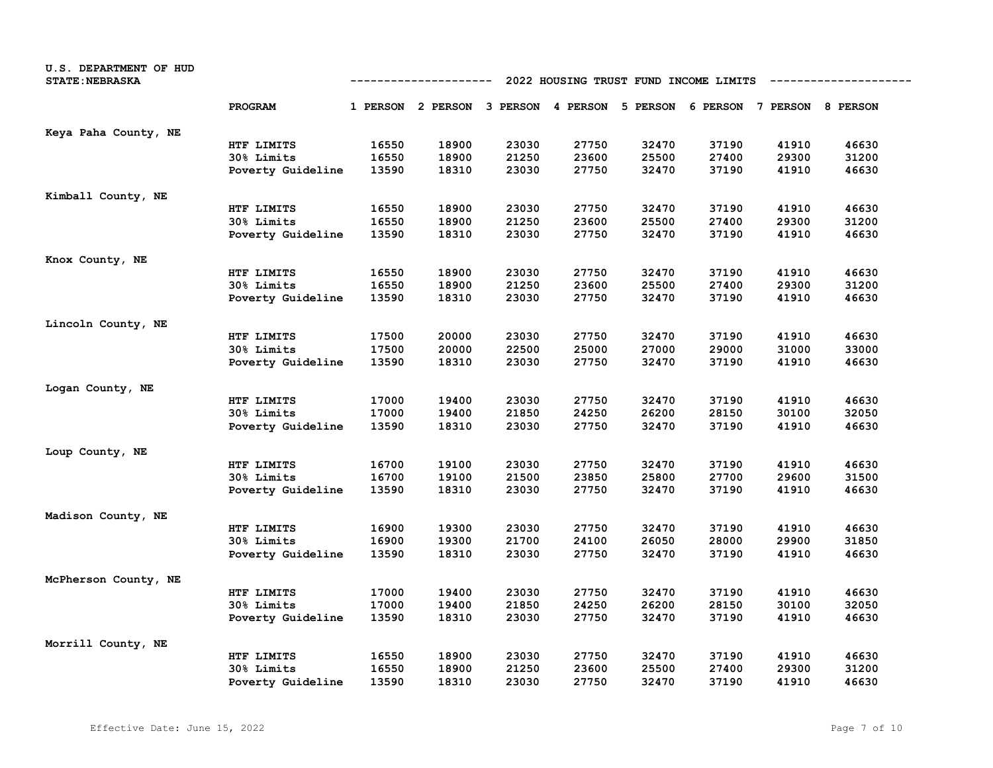| U.S. DEPARTMENT OF HUD<br><b>STATE: NEBRASKA</b> |                   | 2022 HOUSING TRUST FUND INCOME LIMITS<br>---------- |                                                                         |       |       |       |       |       |       |  |
|--------------------------------------------------|-------------------|-----------------------------------------------------|-------------------------------------------------------------------------|-------|-------|-------|-------|-------|-------|--|
|                                                  | PROGRAM           |                                                     | 1 PERSON 2 PERSON 3 PERSON 4 PERSON 5 PERSON 6 PERSON 7 PERSON 8 PERSON |       |       |       |       |       |       |  |
| Keya Paha County, NE                             |                   |                                                     |                                                                         |       |       |       |       |       |       |  |
|                                                  | HTF LIMITS        | 16550                                               | 18900                                                                   | 23030 | 27750 | 32470 | 37190 | 41910 | 46630 |  |
|                                                  | 30% Limits        | 16550                                               | 18900                                                                   | 21250 | 23600 | 25500 | 27400 | 29300 | 31200 |  |
|                                                  | Poverty Guideline | 13590                                               | 18310                                                                   | 23030 | 27750 | 32470 | 37190 | 41910 | 46630 |  |
| Kimball County, NE                               |                   |                                                     |                                                                         |       |       |       |       |       |       |  |
|                                                  | HTF LIMITS        | 16550                                               | 18900                                                                   | 23030 | 27750 | 32470 | 37190 | 41910 | 46630 |  |
|                                                  | 30% Limits        | 16550                                               | 18900                                                                   | 21250 | 23600 | 25500 | 27400 | 29300 | 31200 |  |
|                                                  | Poverty Guideline | 13590                                               | 18310                                                                   | 23030 | 27750 | 32470 | 37190 | 41910 | 46630 |  |
| Knox County, NE                                  |                   |                                                     |                                                                         |       |       |       |       |       |       |  |
|                                                  | HTF LIMITS        | 16550                                               | 18900                                                                   | 23030 | 27750 | 32470 | 37190 | 41910 | 46630 |  |
|                                                  | 30% Limits        | 16550                                               | 18900                                                                   | 21250 | 23600 | 25500 | 27400 | 29300 | 31200 |  |
|                                                  | Poverty Guideline | 13590                                               | 18310                                                                   | 23030 | 27750 | 32470 | 37190 | 41910 | 46630 |  |
| Lincoln County, NE                               |                   |                                                     |                                                                         |       |       |       |       |       |       |  |
|                                                  | HTF LIMITS        | 17500                                               | 20000                                                                   | 23030 | 27750 | 32470 | 37190 | 41910 | 46630 |  |
|                                                  | 30% Limits        | 17500                                               | 20000                                                                   | 22500 | 25000 | 27000 | 29000 | 31000 | 33000 |  |
|                                                  | Poverty Guideline | 13590                                               | 18310                                                                   | 23030 | 27750 | 32470 | 37190 | 41910 | 46630 |  |
| Logan County, NE                                 |                   |                                                     |                                                                         |       |       |       |       |       |       |  |
|                                                  | HTF LIMITS        | 17000                                               | 19400                                                                   | 23030 | 27750 | 32470 | 37190 | 41910 | 46630 |  |
|                                                  | 30% Limits        | 17000                                               | 19400                                                                   | 21850 | 24250 | 26200 | 28150 | 30100 | 32050 |  |
|                                                  | Poverty Guideline | 13590                                               | 18310                                                                   | 23030 | 27750 | 32470 | 37190 | 41910 | 46630 |  |
| Loup County, NE                                  |                   |                                                     |                                                                         |       |       |       |       |       |       |  |
|                                                  | HTF LIMITS        | 16700                                               | 19100                                                                   | 23030 | 27750 | 32470 | 37190 | 41910 | 46630 |  |
|                                                  | 30% Limits        | 16700                                               | 19100                                                                   | 21500 | 23850 | 25800 | 27700 | 29600 | 31500 |  |
|                                                  | Poverty Guideline | 13590                                               | 18310                                                                   | 23030 | 27750 | 32470 | 37190 | 41910 | 46630 |  |
| Madison County, NE                               |                   |                                                     |                                                                         |       |       |       |       |       |       |  |
|                                                  | HTF LIMITS        | 16900                                               | 19300                                                                   | 23030 | 27750 | 32470 | 37190 | 41910 | 46630 |  |
|                                                  | 30% Limits        | 16900                                               | 19300                                                                   | 21700 | 24100 | 26050 | 28000 | 29900 | 31850 |  |
|                                                  | Poverty Guideline | 13590                                               | 18310                                                                   | 23030 | 27750 | 32470 | 37190 | 41910 | 46630 |  |
| McPherson County, NE                             |                   |                                                     |                                                                         |       |       |       |       |       |       |  |
|                                                  | HTF LIMITS        | 17000                                               | 19400                                                                   | 23030 | 27750 | 32470 | 37190 | 41910 | 46630 |  |
|                                                  | 30% Limits        | 17000                                               | 19400                                                                   | 21850 | 24250 | 26200 | 28150 | 30100 | 32050 |  |
|                                                  | Poverty Guideline | 13590                                               | 18310                                                                   | 23030 | 27750 | 32470 | 37190 | 41910 | 46630 |  |
| Morrill County, NE                               |                   |                                                     |                                                                         |       |       |       |       |       |       |  |
|                                                  | HTF LIMITS        | 16550                                               | 18900                                                                   | 23030 | 27750 | 32470 | 37190 | 41910 | 46630 |  |
|                                                  | 30% Limits        | 16550                                               | 18900                                                                   | 21250 | 23600 | 25500 | 27400 | 29300 | 31200 |  |
|                                                  | Poverty Guideline | 13590                                               | 18310                                                                   | 23030 | 27750 | 32470 | 37190 | 41910 | 46630 |  |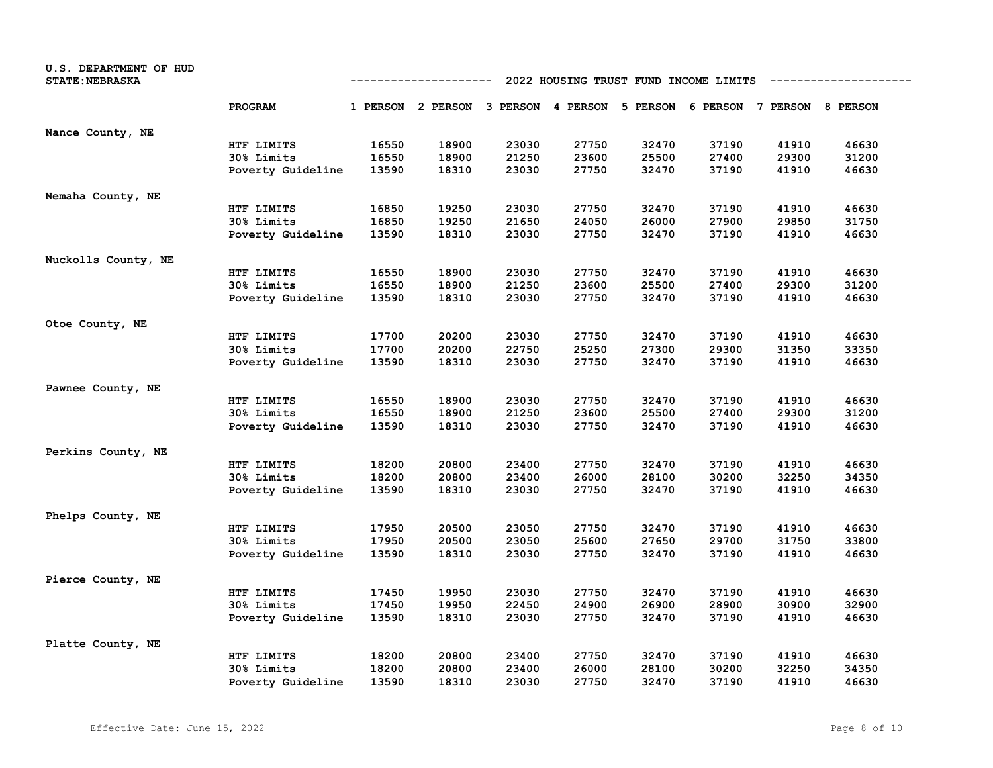| U.S. DEPARTMENT OF HUD<br><b>STATE: NEBRASKA</b> | 2022 HOUSING TRUST FUND INCOME LIMITS<br>------------ |       |                                                                         |       |       |       |       |       |       |
|--------------------------------------------------|-------------------------------------------------------|-------|-------------------------------------------------------------------------|-------|-------|-------|-------|-------|-------|
|                                                  | PROGRAM                                               |       | 1 PERSON 2 PERSON 3 PERSON 4 PERSON 5 PERSON 6 PERSON 7 PERSON 8 PERSON |       |       |       |       |       |       |
| Nance County, NE                                 |                                                       |       |                                                                         |       |       |       |       |       |       |
|                                                  | HTF LIMITS                                            | 16550 | 18900                                                                   | 23030 | 27750 | 32470 | 37190 | 41910 | 46630 |
|                                                  | 30% Limits                                            | 16550 | 18900                                                                   | 21250 | 23600 | 25500 | 27400 | 29300 | 31200 |
|                                                  | Poverty Guideline                                     | 13590 | 18310                                                                   | 23030 | 27750 | 32470 | 37190 | 41910 | 46630 |
| Nemaha County, NE                                |                                                       |       |                                                                         |       |       |       |       |       |       |
|                                                  | HTF LIMITS                                            | 16850 | 19250                                                                   | 23030 | 27750 | 32470 | 37190 | 41910 | 46630 |
|                                                  | 30% Limits                                            | 16850 | 19250                                                                   | 21650 | 24050 | 26000 | 27900 | 29850 | 31750 |
|                                                  | Poverty Guideline                                     | 13590 | 18310                                                                   | 23030 | 27750 | 32470 | 37190 | 41910 | 46630 |
| Nuckolls County, NE                              |                                                       |       |                                                                         |       |       |       |       |       |       |
|                                                  | HTF LIMITS                                            | 16550 | 18900                                                                   | 23030 | 27750 | 32470 | 37190 | 41910 | 46630 |
|                                                  | 30% Limits                                            | 16550 | 18900                                                                   | 21250 | 23600 | 25500 | 27400 | 29300 | 31200 |
|                                                  | Poverty Guideline                                     | 13590 | 18310                                                                   | 23030 | 27750 | 32470 | 37190 | 41910 | 46630 |
| Otoe County, NE                                  |                                                       |       |                                                                         |       |       |       |       |       |       |
|                                                  | HTF LIMITS                                            | 17700 | 20200                                                                   | 23030 | 27750 | 32470 | 37190 | 41910 | 46630 |
|                                                  | 30% Limits                                            | 17700 | 20200                                                                   | 22750 | 25250 | 27300 | 29300 | 31350 | 33350 |
|                                                  | Poverty Guideline                                     | 13590 | 18310                                                                   | 23030 | 27750 | 32470 | 37190 | 41910 | 46630 |
| Pawnee County, NE                                |                                                       |       |                                                                         |       |       |       |       |       |       |
|                                                  | HTF LIMITS                                            | 16550 | 18900                                                                   | 23030 | 27750 | 32470 | 37190 | 41910 | 46630 |
|                                                  | 30% Limits                                            | 16550 | 18900                                                                   | 21250 | 23600 | 25500 | 27400 | 29300 | 31200 |
|                                                  | Poverty Guideline                                     | 13590 | 18310                                                                   | 23030 | 27750 | 32470 | 37190 | 41910 | 46630 |
| Perkins County, NE                               |                                                       |       |                                                                         |       |       |       |       |       |       |
|                                                  | HTF LIMITS                                            | 18200 | 20800                                                                   | 23400 | 27750 | 32470 | 37190 | 41910 | 46630 |
|                                                  | 30% Limits                                            | 18200 | 20800                                                                   | 23400 | 26000 | 28100 | 30200 | 32250 | 34350 |
|                                                  | Poverty Guideline                                     | 13590 | 18310                                                                   | 23030 | 27750 | 32470 | 37190 | 41910 | 46630 |
| Phelps County, NE                                |                                                       |       |                                                                         |       |       |       |       |       |       |
|                                                  | HTF LIMITS                                            | 17950 | 20500                                                                   | 23050 | 27750 | 32470 | 37190 | 41910 | 46630 |
|                                                  | 30% Limits                                            | 17950 | 20500                                                                   | 23050 | 25600 | 27650 | 29700 | 31750 | 33800 |
|                                                  | Poverty Guideline                                     | 13590 | 18310                                                                   | 23030 | 27750 | 32470 | 37190 | 41910 | 46630 |
| Pierce County, NE                                |                                                       |       |                                                                         |       |       |       |       |       |       |
|                                                  | HTF LIMITS                                            | 17450 | 19950                                                                   | 23030 | 27750 | 32470 | 37190 | 41910 | 46630 |
|                                                  | 30% Limits                                            | 17450 | 19950                                                                   | 22450 | 24900 | 26900 | 28900 | 30900 | 32900 |
|                                                  | Poverty Guideline                                     | 13590 | 18310                                                                   | 23030 | 27750 | 32470 | 37190 | 41910 | 46630 |
| Platte County, NE                                |                                                       |       |                                                                         |       |       |       |       |       |       |
|                                                  | HTF LIMITS                                            | 18200 | 20800                                                                   | 23400 | 27750 | 32470 | 37190 | 41910 | 46630 |
|                                                  | 30% Limits                                            | 18200 | 20800                                                                   | 23400 | 26000 | 28100 | 30200 | 32250 | 34350 |
|                                                  | Poverty Guideline                                     | 13590 | 18310                                                                   | 23030 | 27750 | 32470 | 37190 | 41910 | 46630 |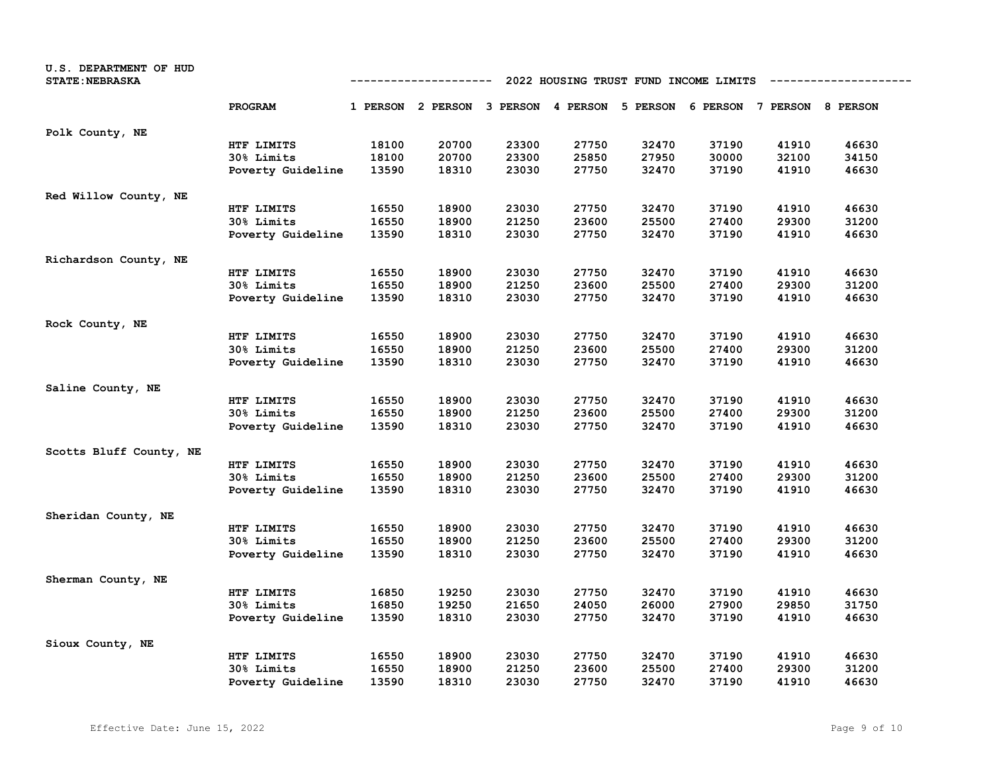| U.S. DEPARTMENT OF HUD<br><b>STATE: NEBRASKA</b> |                   | 2022 HOUSING TRUST FUND INCOME LIMITS<br>---------- |                                                                         |       |       |       |       |       |       |  |
|--------------------------------------------------|-------------------|-----------------------------------------------------|-------------------------------------------------------------------------|-------|-------|-------|-------|-------|-------|--|
|                                                  | <b>PROGRAM</b>    |                                                     | 1 PERSON 2 PERSON 3 PERSON 4 PERSON 5 PERSON 6 PERSON 7 PERSON 8 PERSON |       |       |       |       |       |       |  |
| Polk County, NE                                  |                   |                                                     |                                                                         |       |       |       |       |       |       |  |
|                                                  | HTF LIMITS        | 18100                                               | 20700                                                                   | 23300 | 27750 | 32470 | 37190 | 41910 | 46630 |  |
|                                                  | 30% Limits        | 18100                                               | 20700                                                                   | 23300 | 25850 | 27950 | 30000 | 32100 | 34150 |  |
|                                                  | Poverty Guideline | 13590                                               | 18310                                                                   | 23030 | 27750 | 32470 | 37190 | 41910 | 46630 |  |
| Red Willow County, NE                            |                   |                                                     |                                                                         |       |       |       |       |       |       |  |
|                                                  | HTF LIMITS        | 16550                                               | 18900                                                                   | 23030 | 27750 | 32470 | 37190 | 41910 | 46630 |  |
|                                                  | 30% Limits        | 16550                                               | 18900                                                                   | 21250 | 23600 | 25500 | 27400 | 29300 | 31200 |  |
|                                                  | Poverty Guideline | 13590                                               | 18310                                                                   | 23030 | 27750 | 32470 | 37190 | 41910 | 46630 |  |
| Richardson County, NE                            |                   |                                                     |                                                                         |       |       |       |       |       |       |  |
|                                                  | HTF LIMITS        | 16550                                               | 18900                                                                   | 23030 | 27750 | 32470 | 37190 | 41910 | 46630 |  |
|                                                  | 30% Limits        | 16550                                               | 18900                                                                   | 21250 | 23600 | 25500 | 27400 | 29300 | 31200 |  |
|                                                  | Poverty Guideline | 13590                                               | 18310                                                                   | 23030 | 27750 | 32470 | 37190 | 41910 | 46630 |  |
| Rock County, NE                                  |                   |                                                     |                                                                         |       |       |       |       |       |       |  |
|                                                  | HTF LIMITS        | 16550                                               | 18900                                                                   | 23030 | 27750 | 32470 | 37190 | 41910 | 46630 |  |
|                                                  | 30% Limits        | 16550                                               | 18900                                                                   | 21250 | 23600 | 25500 | 27400 | 29300 | 31200 |  |
|                                                  | Poverty Guideline | 13590                                               | 18310                                                                   | 23030 | 27750 | 32470 | 37190 | 41910 | 46630 |  |
| Saline County, NE                                |                   |                                                     |                                                                         |       |       |       |       |       |       |  |
|                                                  | HTF LIMITS        | 16550                                               | 18900                                                                   | 23030 | 27750 | 32470 | 37190 | 41910 | 46630 |  |
|                                                  | 30% Limits        | 16550                                               | 18900                                                                   | 21250 | 23600 | 25500 | 27400 | 29300 | 31200 |  |
|                                                  | Poverty Guideline | 13590                                               | 18310                                                                   | 23030 | 27750 | 32470 | 37190 | 41910 | 46630 |  |
| Scotts Bluff County, NE                          |                   |                                                     |                                                                         |       |       |       |       |       |       |  |
|                                                  | HTF LIMITS        | 16550                                               | 18900                                                                   | 23030 | 27750 | 32470 | 37190 | 41910 | 46630 |  |
|                                                  | 30% Limits        | 16550                                               | 18900                                                                   | 21250 | 23600 | 25500 | 27400 | 29300 | 31200 |  |
|                                                  | Poverty Guideline | 13590                                               | 18310                                                                   | 23030 | 27750 | 32470 | 37190 | 41910 | 46630 |  |
| Sheridan County, NE                              |                   |                                                     |                                                                         |       |       |       |       |       |       |  |
|                                                  | HTF LIMITS        | 16550                                               | 18900                                                                   | 23030 | 27750 | 32470 | 37190 | 41910 | 46630 |  |
|                                                  | 30% Limits        | 16550                                               | 18900                                                                   | 21250 | 23600 | 25500 | 27400 | 29300 | 31200 |  |
|                                                  | Poverty Guideline | 13590                                               | 18310                                                                   | 23030 | 27750 | 32470 | 37190 | 41910 | 46630 |  |
| Sherman County, NE                               |                   |                                                     |                                                                         |       |       |       |       |       |       |  |
|                                                  | HTF LIMITS        | 16850                                               | 19250                                                                   | 23030 | 27750 | 32470 | 37190 | 41910 | 46630 |  |
|                                                  | 30% Limits        | 16850                                               | 19250                                                                   | 21650 | 24050 | 26000 | 27900 | 29850 | 31750 |  |
|                                                  | Poverty Guideline | 13590                                               | 18310                                                                   | 23030 | 27750 | 32470 | 37190 | 41910 | 46630 |  |
| Sioux County, NE                                 |                   |                                                     |                                                                         |       |       |       |       |       |       |  |
|                                                  | HTF LIMITS        | 16550                                               | 18900                                                                   | 23030 | 27750 | 32470 | 37190 | 41910 | 46630 |  |
|                                                  | 30% Limits        | 16550                                               | 18900                                                                   | 21250 | 23600 | 25500 | 27400 | 29300 | 31200 |  |
|                                                  | Poverty Guideline | 13590                                               | 18310                                                                   | 23030 | 27750 | 32470 | 37190 | 41910 | 46630 |  |